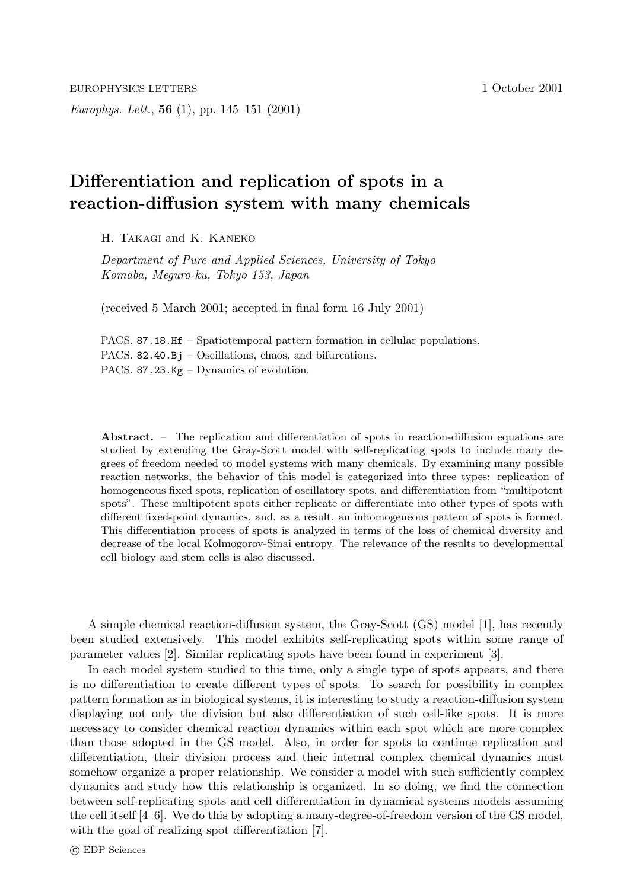*Europhys. Lett.*, **56** (1), pp. 145–151 (2001) EUROPHYSICS LETTERS 1 October 2001

# **Differentiation and replication of spots in a reaction-diffusion system with many chemicals**

H. Takagi and K. Kaneko

*Department of Pure and Applied Sciences, University of Tokyo Komaba, Meguro-ku, Tokyo 153, Japan*

(received 5 March 2001; accepted in final form 16 July 2001)

PACS. 87.18.Hf – Spatiotemporal pattern formation in cellular populations. PACS. 82.40.Bj – Oscillations, chaos, and bifurcations. PACS. 87.23.Kg – Dynamics of evolution.

**Abstract.** – The replication and differentiation of spots in reaction-diffusion equations are studied by extending the Gray-Scott model with self-replicating spots to include many degrees of freedom needed to model systems with many chemicals. By examining many possible reaction networks, the behavior of this model is categorized into three types: replication of homogeneous fixed spots, replication of oscillatory spots, and differentiation from "multipotent spots". These multipotent spots either replicate or differentiate into other types of spots with different fixed-point dynamics, and, as a result, an inhomogeneous pattern of spots is formed. This differentiation process of spots is analyzed in terms of the loss of chemical diversity and decrease of the local Kolmogorov-Sinai entropy. The relevance of the results to developmental cell biology and stem cells is also discussed.

A simple chemical reaction-diffusion system, the Gray-Scott (GS) model [1], has recently been studied extensively. This model exhibits self-replicating spots within some range of parameter values [2]. Similar replicating spots have been found in experiment [3].

In each model system studied to this time, only a single type of spots appears, and there is no differentiation to create different types of spots. To search for possibility in complex pattern formation as in biological systems, it is interesting to study a reaction-diffusion system displaying not only the division but also differentiation of such cell-like spots. It is more necessary to consider chemical reaction dynamics within each spot which are more complex than those adopted in the GS model. Also, in order for spots to continue replication and differentiation, their division process and their internal complex chemical dynamics must somehow organize a proper relationship. We consider a model with such sufficiently complex dynamics and study how this relationship is organized. In so doing, we find the connection between self-replicating spots and cell differentiation in dynamical systems models assuming the cell itself [4–6]. We do this by adopting a many-degree-of-freedom version of the GS model, with the goal of realizing spot differentiation [7].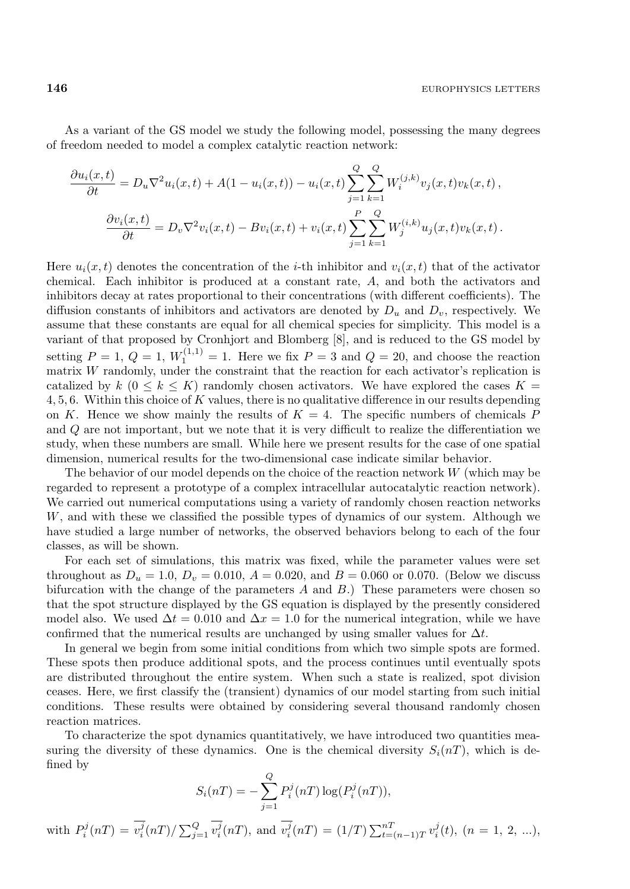As a variant of the GS model we study the following model, possessing the many degrees of freedom needed to model a complex catalytic reaction network:

$$
\frac{\partial u_i(x,t)}{\partial t} = D_u \nabla^2 u_i(x,t) + A(1 - u_i(x,t)) - u_i(x,t) \sum_{j=1}^Q \sum_{k=1}^Q W_i^{(j,k)} v_j(x,t) v_k(x,t) ,
$$

$$
\frac{\partial v_i(x,t)}{\partial t} = D_v \nabla^2 v_i(x,t) - B v_i(x,t) + v_i(x,t) \sum_{j=1}^P \sum_{k=1}^Q W_j^{(i,k)} u_j(x,t) v_k(x,t) .
$$

Here  $u_i(x, t)$  denotes the concentration of the *i*-th inhibitor and  $v_i(x, t)$  that of the activator chemical. Each inhibitor is produced at a constant rate, A, and both the activators and inhibitors decay at rates proportional to their concentrations (with different coefficients). The diffusion constants of inhibitors and activators are denoted by  $D_u$  and  $D_v$ , respectively. We assume that these constants are equal for all chemical species for simplicity. This model is a variant of that proposed by Cronhjort and Blomberg [8], and is reduced to the GS model by setting  $P = 1, Q = 1, W_1^{(1,1)} = 1$ . Here we fix  $P = 3$  and  $Q = 20$ , and choose the reaction matrix W randomly, under the constraint that the reaction for each activator's replication is catalized by  $k$  ( $0 \leq k \leq K$ ) randomly chosen activators. We have explored the cases  $K =$ 4, 5, 6. Within this choice of K values, there is no qualitative difference in our results depending on K. Hence we show mainly the results of  $K = 4$ . The specific numbers of chemicals P and Q are not important, but we note that it is very difficult to realize the differentiation we study, when these numbers are small. While here we present results for the case of one spatial dimension, numerical results for the two-dimensional case indicate similar behavior.

The behavior of our model depends on the choice of the reaction network  $W$  (which may be regarded to represent a prototype of a complex intracellular autocatalytic reaction network). We carried out numerical computations using a variety of randomly chosen reaction networks W, and with these we classified the possible types of dynamics of our system. Although we have studied a large number of networks, the observed behaviors belong to each of the four classes, as will be shown.

For each set of simulations, this matrix was fixed, while the parameter values were set throughout as  $D_u = 1.0$ ,  $D_v = 0.010$ ,  $A = 0.020$ , and  $B = 0.060$  or 0.070. (Below we discuss bifurcation with the change of the parameters  $A$  and  $B$ .) These parameters were chosen so that the spot structure displayed by the GS equation is displayed by the presently considered model also. We used  $\Delta t = 0.010$  and  $\Delta x = 1.0$  for the numerical integration, while we have confirmed that the numerical results are unchanged by using smaller values for  $\Delta t$ .

In general we begin from some initial conditions from which two simple spots are formed. These spots then produce additional spots, and the process continues until eventually spots are distributed throughout the entire system. When such a state is realized, spot division ceases. Here, we first classify the (transient) dynamics of our model starting from such initial conditions. These results were obtained by considering several thousand randomly chosen reaction matrices.

To characterize the spot dynamics quantitatively, we have introduced two quantities measuring the diversity of these dynamics. One is the chemical diversity  $S_i(nT)$ , which is defined by

$$
S_i(nT) = -\sum_{j=1}^Q P_i^j(nT) \log(P_i^j(nT)),
$$
  
with  $P_i^j(nT) = \overline{v_i^j}(nT) / \sum_{j=1}^Q \overline{v_i^j}(nT)$ , and  $\overline{v_i^j}(nT) = (1/T) \sum_{t=(n-1)T}^{nT} v_i^j(t)$ ,  $(n = 1, 2, ...)$ ,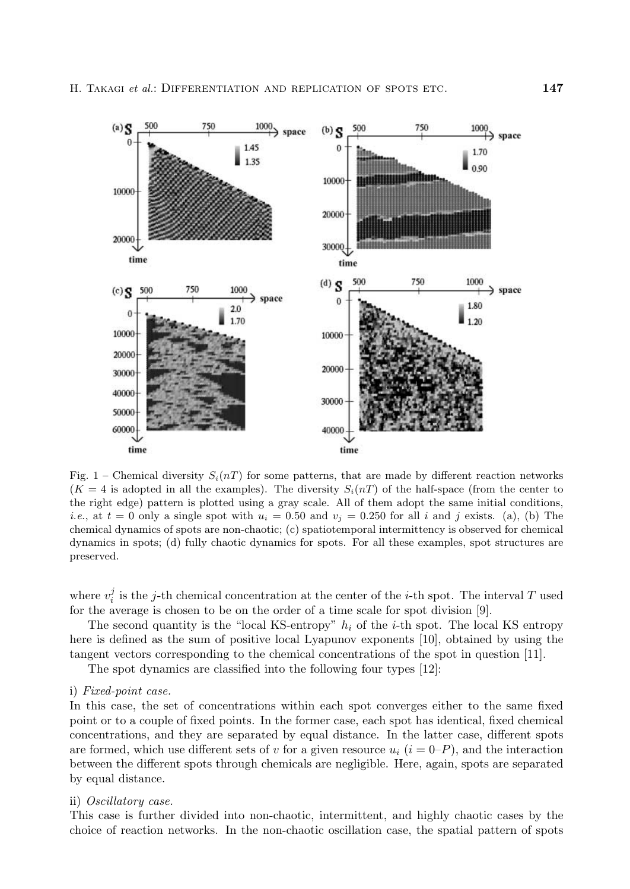

Fig. 1 – Chemical diversity  $S_i(nT)$  for some patterns, that are made by different reaction networks  $(K = 4$  is adopted in all the examples). The diversity  $S_i(nT)$  of the half-space (from the center to the right edge) pattern is plotted using a gray scale. All of them adopt the same initial conditions, *i.e.*, at  $t = 0$  only a single spot with  $u_i = 0.50$  and  $v_j = 0.250$  for all *i* and *j* exists. (a), (b) The chemical dynamics of spots are non-chaotic; (c) spatiotemporal intermittency is observed for chemical dynamics in spots; (d) fully chaotic dynamics for spots. For all these examples, spot structures are preserved.

where  $v_i^j$  is the j-th chemical concentration at the center of the *i*-th spot. The interval T used for the average is chosen to be on the order of a time scale for spot division [9].

The second quantity is the "local KS-entropy"  $h_i$  of the *i*-th spot. The local KS entropy here is defined as the sum of positive local Lyapunov exponents [10], obtained by using the tangent vectors corresponding to the chemical concentrations of the spot in question [11].

The spot dynamics are classified into the following four types [12]:

# i) *Fixed-point case.*

In this case, the set of concentrations within each spot converges either to the same fixed point or to a couple of fixed points. In the former case, each spot has identical, fixed chemical concentrations, and they are separated by equal distance. In the latter case, different spots are formed, which use different sets of v for a given resource  $u_i$  ( $i = 0-P$ ), and the interaction between the different spots through chemicals are negligible. Here, again, spots are separated by equal distance.

## ii) *Oscillatory case.*

This case is further divided into non-chaotic, intermittent, and highly chaotic cases by the choice of reaction networks. In the non-chaotic oscillation case, the spatial pattern of spots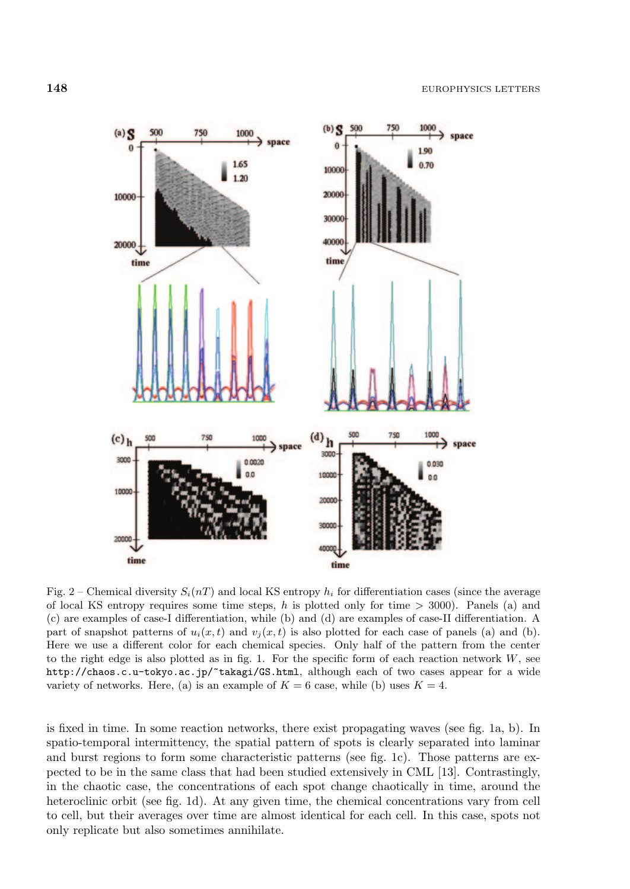

Fig. 2 – Chemical diversity  $S_i(nT)$  and local KS entropy  $h_i$  for differentiation cases (since the average of local KS entropy requires some time steps, *h* is plotted only for time *>* 3000). Panels (a) and (c) are examples of case-I differentiation, while (b) and (d) are examples of case-II differentiation. A part of snapshot patterns of  $u_i(x,t)$  and  $v_j(x,t)$  is also plotted for each case of panels (a) and (b). Here we use a different color for each chemical species. Only half of the pattern from the center to the right edge is also plotted as in fig. 1. For the specific form of each reaction network *W*, see http://chaos.c.u-tokyo.ac.jp/~takagi/GS.html, although each of two cases appear for a wide variety of networks. Here, (a) is an example of  $K = 6$  case, while (b) uses  $K = 4$ .

is fixed in time. In some reaction networks, there exist propagating waves (see fig. 1a, b). In spatio-temporal intermittency, the spatial pattern of spots is clearly separated into laminar and burst regions to form some characteristic patterns (see fig. 1c). Those patterns are expected to be in the same class that had been studied extensively in CML [13]. Contrastingly, in the chaotic case, the concentrations of each spot change chaotically in time, around the heteroclinic orbit (see fig. 1d). At any given time, the chemical concentrations vary from cell to cell, but their averages over time are almost identical for each cell. In this case, spots not only replicate but also sometimes annihilate.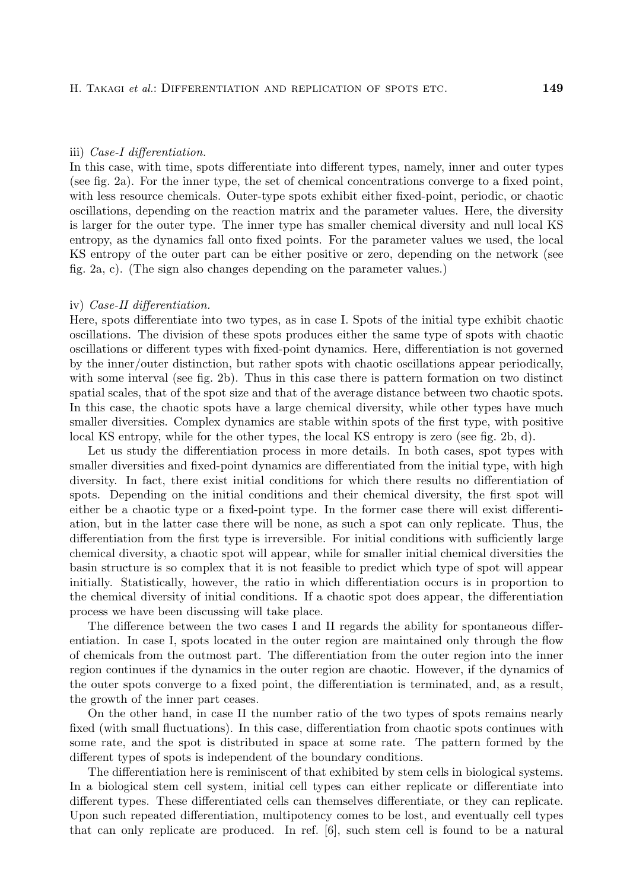#### iii) *Case-I differentiation.*

In this case, with time, spots differentiate into different types, namely, inner and outer types (see fig. 2a). For the inner type, the set of chemical concentrations converge to a fixed point, with less resource chemicals. Outer-type spots exhibit either fixed-point, periodic, or chaotic oscillations, depending on the reaction matrix and the parameter values. Here, the diversity is larger for the outer type. The inner type has smaller chemical diversity and null local KS entropy, as the dynamics fall onto fixed points. For the parameter values we used, the local KS entropy of the outer part can be either positive or zero, depending on the network (see fig. 2a, c). (The sign also changes depending on the parameter values.)

### iv) *Case-II differentiation.*

Here, spots differentiate into two types, as in case I. Spots of the initial type exhibit chaotic oscillations. The division of these spots produces either the same type of spots with chaotic oscillations or different types with fixed-point dynamics. Here, differentiation is not governed by the inner/outer distinction, but rather spots with chaotic oscillations appear periodically, with some interval (see fig. 2b). Thus in this case there is pattern formation on two distinct spatial scales, that of the spot size and that of the average distance between two chaotic spots. In this case, the chaotic spots have a large chemical diversity, while other types have much smaller diversities. Complex dynamics are stable within spots of the first type, with positive local KS entropy, while for the other types, the local KS entropy is zero (see fig. 2b, d).

Let us study the differentiation process in more details. In both cases, spot types with smaller diversities and fixed-point dynamics are differentiated from the initial type, with high diversity. In fact, there exist initial conditions for which there results no differentiation of spots. Depending on the initial conditions and their chemical diversity, the first spot will either be a chaotic type or a fixed-point type. In the former case there will exist differentiation, but in the latter case there will be none, as such a spot can only replicate. Thus, the differentiation from the first type is irreversible. For initial conditions with sufficiently large chemical diversity, a chaotic spot will appear, while for smaller initial chemical diversities the basin structure is so complex that it is not feasible to predict which type of spot will appear initially. Statistically, however, the ratio in which differentiation occurs is in proportion to the chemical diversity of initial conditions. If a chaotic spot does appear, the differentiation process we have been discussing will take place.

The difference between the two cases I and II regards the ability for spontaneous differentiation. In case I, spots located in the outer region are maintained only through the flow of chemicals from the outmost part. The differentiation from the outer region into the inner region continues if the dynamics in the outer region are chaotic. However, if the dynamics of the outer spots converge to a fixed point, the differentiation is terminated, and, as a result, the growth of the inner part ceases.

On the other hand, in case II the number ratio of the two types of spots remains nearly fixed (with small fluctuations). In this case, differentiation from chaotic spots continues with some rate, and the spot is distributed in space at some rate. The pattern formed by the different types of spots is independent of the boundary conditions.

The differentiation here is reminiscent of that exhibited by stem cells in biological systems. In a biological stem cell system, initial cell types can either replicate or differentiate into different types. These differentiated cells can themselves differentiate, or they can replicate. Upon such repeated differentiation, multipotency comes to be lost, and eventually cell types that can only replicate are produced. In ref. [6], such stem cell is found to be a natural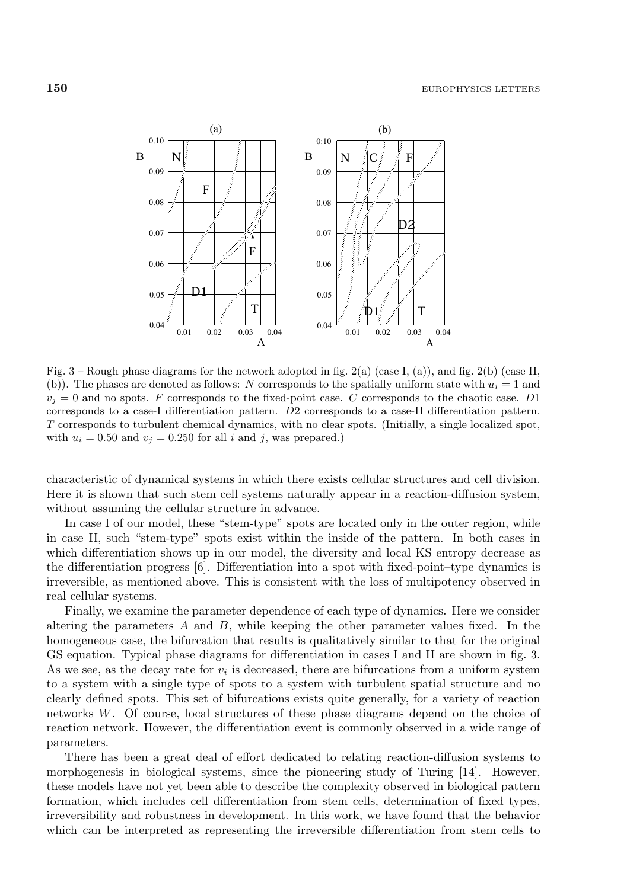

Fig. 3 – Rough phase diagrams for the network adopted in fig. 2(a) (case I, (a)), and fig. 2(b) (case II, (b)). The phases are denoted as follows: *N* corresponds to the spatially uniform state with  $u_i = 1$  and  $v_j = 0$  and no spots. *F* corresponds to the fixed-point case. *C* corresponds to the chaotic case. *D*1 corresponds to a case-I differentiation pattern. *D*2 corresponds to a case-II differentiation pattern. *T* corresponds to turbulent chemical dynamics, with no clear spots. (Initially, a single localized spot, with  $u_i = 0.50$  and  $v_j = 0.250$  for all *i* and *j*, was prepared.)

characteristic of dynamical systems in which there exists cellular structures and cell division. Here it is shown that such stem cell systems naturally appear in a reaction-diffusion system, without assuming the cellular structure in advance.

In case I of our model, these "stem-type" spots are located only in the outer region, while in case II, such "stem-type" spots exist within the inside of the pattern. In both cases in which differentiation shows up in our model, the diversity and local KS entropy decrease as the differentiation progress [6]. Differentiation into a spot with fixed-point–type dynamics is irreversible, as mentioned above. This is consistent with the loss of multipotency observed in real cellular systems.

Finally, we examine the parameter dependence of each type of dynamics. Here we consider altering the parameters  $A$  and  $B$ , while keeping the other parameter values fixed. In the homogeneous case, the bifurcation that results is qualitatively similar to that for the original GS equation. Typical phase diagrams for differentiation in cases I and II are shown in fig. 3. As we see, as the decay rate for  $v_i$  is decreased, there are bifurcations from a uniform system to a system with a single type of spots to a system with turbulent spatial structure and no clearly defined spots. This set of bifurcations exists quite generally, for a variety of reaction networks W. Of course, local structures of these phase diagrams depend on the choice of reaction network. However, the differentiation event is commonly observed in a wide range of parameters.

There has been a great deal of effort dedicated to relating reaction-diffusion systems to morphogenesis in biological systems, since the pioneering study of Turing [14]. However, these models have not yet been able to describe the complexity observed in biological pattern formation, which includes cell differentiation from stem cells, determination of fixed types, irreversibility and robustness in development. In this work, we have found that the behavior which can be interpreted as representing the irreversible differentiation from stem cells to